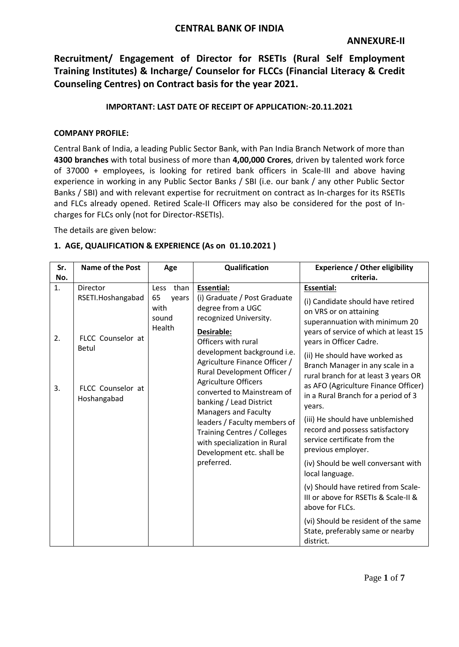## **CENTRAL BANK OF INDIA**

**Recruitment/ Engagement of Director for RSETIs (Rural Self Employment Training Institutes) & Incharge/ Counselor for FLCCs (Financial Literacy & Credit Counseling Centres) on Contract basis for the year 2021.**

## **IMPORTANT: LAST DATE OF RECEIPT OF APPLICATION:-20.11.2021**

#### **COMPANY PROFILE:**

Central Bank of India, a leading Public Sector Bank, with Pan India Branch Network of more than **4300 branches** with total business of more than **4,00,000 Crores**, driven by talented work force of 37000 + employees, is looking for retired bank officers in Scale-III and above having experience in working in any Public Sector Banks / SBI (i.e. our bank / any other Public Sector Banks / SBI) and with relevant expertise for recruitment on contract as In-charges for its RSETIs and FLCs already opened. Retired Scale-II Officers may also be considered for the post of Incharges for FLCs only (not for Director-RSETIs).

The details are given below:

#### **1. AGE, QUALIFICATION & EXPERIENCE (As on 01.10.2021 )**

| Sr.<br>No. | <b>Name of the Post</b>                                                                                                         | Age                                                                                   | Qualification                                                                                                                    | <b>Experience / Other eligibility</b><br>criteria.                                                                                                                            |
|------------|---------------------------------------------------------------------------------------------------------------------------------|---------------------------------------------------------------------------------------|----------------------------------------------------------------------------------------------------------------------------------|-------------------------------------------------------------------------------------------------------------------------------------------------------------------------------|
| 1.         | Director<br>RSETI.Hoshangabad                                                                                                   | than<br>Less<br>65<br>years<br>with<br>sound<br>Health                                | <b>Essential:</b><br>(i) Graduate / Post Graduate<br>degree from a UGC<br>recognized University.                                 | <b>Essential:</b><br>(i) Candidate should have retired<br>on VRS or on attaining<br>superannuation with minimum 20                                                            |
| 2.         | FLCC Counselor at<br><b>Betul</b>                                                                                               |                                                                                       | Desirable:<br>Officers with rural<br>development background i.e.<br>Agriculture Finance Officer /<br>Rural Development Officer / | years of service of which at least 15<br>years in Officer Cadre.<br>(ii) He should have worked as<br>Branch Manager in any scale in a<br>rural branch for at least 3 years OR |
| 3.         | FLCC Counselor at<br>Hoshangabad                                                                                                | <b>Agriculture Officers</b><br>banking / Lead District<br><b>Managers and Faculty</b> | converted to Mainstream of                                                                                                       | as AFO (Agriculture Finance Officer)<br>in a Rural Branch for a period of 3<br>years.<br>(iii) He should have unblemished                                                     |
|            | leaders / Faculty members of<br><b>Training Centres / Colleges</b><br>with specialization in Rural<br>Development etc. shall be |                                                                                       | record and possess satisfactory<br>service certificate from the<br>previous employer.                                            |                                                                                                                                                                               |
|            |                                                                                                                                 |                                                                                       | preferred.                                                                                                                       | (iv) Should be well conversant with<br>local language.                                                                                                                        |
|            |                                                                                                                                 |                                                                                       |                                                                                                                                  | (v) Should have retired from Scale-<br>III or above for RSETIs & Scale-II &<br>above for FLCs.                                                                                |
|            |                                                                                                                                 |                                                                                       |                                                                                                                                  | (vi) Should be resident of the same<br>State, preferably same or nearby<br>district.                                                                                          |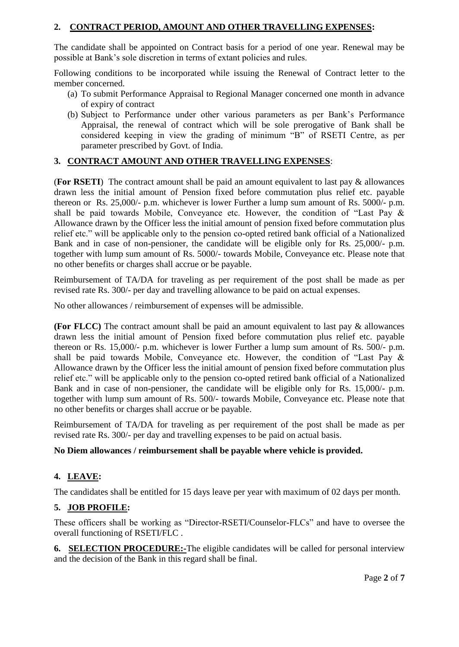## **2. CONTRACT PERIOD, AMOUNT AND OTHER TRAVELLING EXPENSES:**

The candidate shall be appointed on Contract basis for a period of one year. Renewal may be possible at Bank's sole discretion in terms of extant policies and rules.

Following conditions to be incorporated while issuing the Renewal of Contract letter to the member concerned.

- (a) To submit Performance Appraisal to Regional Manager concerned one month in advance of expiry of contract
- (b) Subject to Performance under other various parameters as per Bank's Performance Appraisal, the renewal of contract which will be sole prerogative of Bank shall be considered keeping in view the grading of minimum "B" of RSETI Centre, as per parameter prescribed by Govt. of India.

## **3. CONTRACT AMOUNT AND OTHER TRAVELLING EXPENSES**:

(**For RSETI**) The contract amount shall be paid an amount equivalent to last pay & allowances drawn less the initial amount of Pension fixed before commutation plus relief etc. payable thereon or Rs. 25,000/- p.m. whichever is lower Further a lump sum amount of Rs. 5000/- p.m. shall be paid towards Mobile, Conveyance etc. However, the condition of "Last Pay & Allowance drawn by the Officer less the initial amount of pension fixed before commutation plus relief etc." will be applicable only to the pension co-opted retired bank official of a Nationalized Bank and in case of non-pensioner, the candidate will be eligible only for Rs. 25,000/- p.m. together with lump sum amount of Rs. 5000/- towards Mobile, Conveyance etc. Please note that no other benefits or charges shall accrue or be payable.

Reimbursement of TA/DA for traveling as per requirement of the post shall be made as per revised rate Rs. 300/- per day and travelling allowance to be paid on actual expenses.

No other allowances / reimbursement of expenses will be admissible.

**(For FLCC)** The contract amount shall be paid an amount equivalent to last pay & allowances drawn less the initial amount of Pension fixed before commutation plus relief etc. payable thereon or Rs. 15,000/- p.m. whichever is lower Further a lump sum amount of Rs. 500/- p.m. shall be paid towards Mobile, Conveyance etc. However, the condition of "Last Pay & Allowance drawn by the Officer less the initial amount of pension fixed before commutation plus relief etc." will be applicable only to the pension co-opted retired bank official of a Nationalized Bank and in case of non-pensioner, the candidate will be eligible only for Rs. 15,000/- p.m. together with lump sum amount of Rs. 500/- towards Mobile, Conveyance etc. Please note that no other benefits or charges shall accrue or be payable.

Reimbursement of TA/DA for traveling as per requirement of the post shall be made as per revised rate Rs. 300/- per day and travelling expenses to be paid on actual basis.

#### **No Diem allowances / reimbursement shall be payable where vehicle is provided.**

## **4. LEAVE:**

The candidates shall be entitled for 15 days leave per year with maximum of 02 days per month.

#### **5. JOB PROFILE:**

These officers shall be working as "Director-RSETI/Counselor-FLCs" and have to oversee the overall functioning of RSETI/FLC .

**6. SELECTION PROCEDURE:-**The eligible candidates will be called for personal interview and the decision of the Bank in this regard shall be final.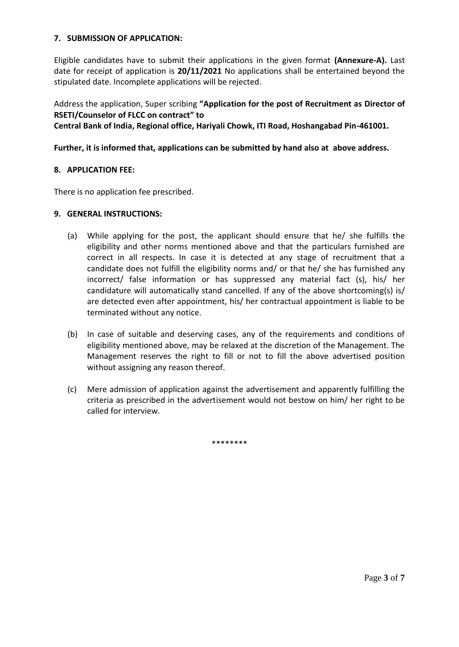#### **7. SUBMISSION OF APPLICATION:**

Eligible candidates have to submit their applications in the given format **(Annexure-A).** Last date for receipt of application is **20/11/2021** No applications shall be entertained beyond the stipulated date. Incomplete applications will be rejected.

Address the application, Super scribing **"Application for the post of Recruitment as Director of RSETI/Counselor of FLCC on contract" to** 

**Central Bank of India, Regional office, Hariyali Chowk, ITI Road, Hoshangabad Pin-461001.**

#### **Further, it is informed that, applications can be submitted by hand also at above address.**

#### **8. APPLICATION FEE:**

There is no application fee prescribed.

#### **9. GENERAL INSTRUCTIONS:**

- (a) While applying for the post, the applicant should ensure that he/ she fulfills the eligibility and other norms mentioned above and that the particulars furnished are correct in all respects. In case it is detected at any stage of recruitment that a candidate does not fulfill the eligibility norms and/ or that he/ she has furnished any incorrect/ false information or has suppressed any material fact (s), his/ her candidature will automatically stand cancelled. If any of the above shortcoming(s) is/ are detected even after appointment, his/ her contractual appointment is liable to be terminated without any notice.
- (b) In case of suitable and deserving cases, any of the requirements and conditions of eligibility mentioned above, may be relaxed at the discretion of the Management. The Management reserves the right to fill or not to fill the above advertised position without assigning any reason thereof.
- (c) Mere admission of application against the advertisement and apparently fulfilling the criteria as prescribed in the advertisement would not bestow on him/ her right to be called for interview.

\*\*\*\*\*\*\*\*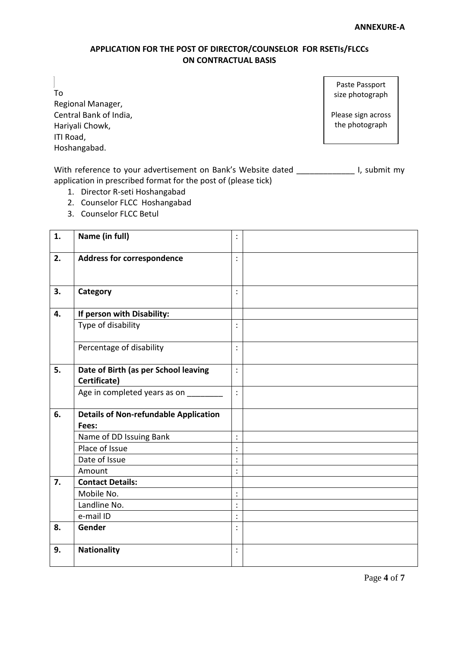#### **APPLICATION FOR THE POST OF DIRECTOR/COUNSELOR FOR RSETIs/FLCCs ON CONTRACTUAL BASIS**

To

Regional Manager, Central Bank of India, Hariyali Chowk, ITI Road, Hoshangabad.

Paste Passport size photograph

Please sign across the photograph

With reference to your advertisement on Bank's Website dated \_\_\_\_\_\_\_\_\_\_\_\_\_\_\_\_\_\_\_ I, submit my application in prescribed format for the post of (please tick)

- 1. Director R-seti Hoshangabad
- 2. Counselor FLCC Hoshangabad
- 3. Counselor FLCC Betul

| 1. | Name (in full)                                        | $\ddot{\cdot}$ |  |
|----|-------------------------------------------------------|----------------|--|
| 2. | <b>Address for correspondence</b>                     | $\vdots$       |  |
| 3. | Category                                              | $\ddot{\cdot}$ |  |
| 4. | If person with Disability:                            |                |  |
|    | Type of disability                                    | $\ddot{\cdot}$ |  |
|    | Percentage of disability                              | $\ddot{\cdot}$ |  |
| 5. | Date of Birth (as per School leaving<br>Certificate)  | $\ddot{\cdot}$ |  |
|    | Age in completed years as on ______                   | $\ddot{\cdot}$ |  |
| 6. | <b>Details of Non-refundable Application</b><br>Fees: |                |  |
|    | Name of DD Issuing Bank                               | $\vdots$       |  |
|    | Place of Issue                                        | $\ddot{\cdot}$ |  |
|    | Date of Issue                                         | $\ddot{\cdot}$ |  |
|    | Amount                                                | $\ddot{\cdot}$ |  |
| 7. | <b>Contact Details:</b>                               |                |  |
|    | Mobile No.                                            | $\ddot{\cdot}$ |  |
|    | Landline No.                                          | $\ddot{\cdot}$ |  |
|    | e-mail ID                                             | $\vdots$       |  |
| 8. | Gender                                                | $\ddot{\cdot}$ |  |
| 9. | <b>Nationality</b>                                    | $\ddot{\cdot}$ |  |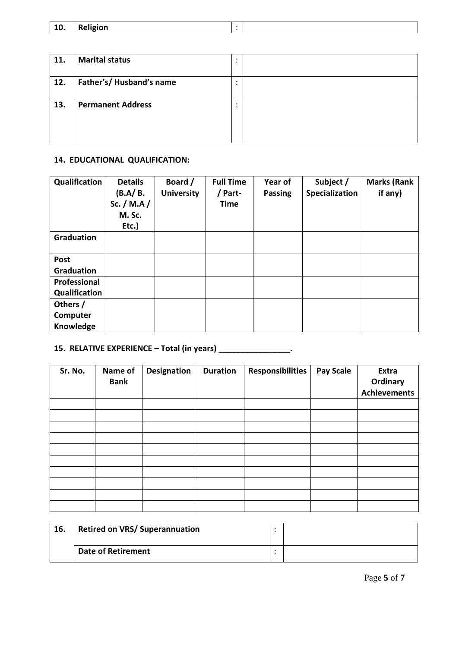| A<br>LU. | <b>Religion</b> |  |  |
|----------|-----------------|--|--|
|----------|-----------------|--|--|

| 11. | <b>Marital status</b>    | ٠      |  |
|-----|--------------------------|--------|--|
| 12. | Father's/ Husband's name | ٠<br>٠ |  |
| 13. | <b>Permanent Address</b> | ٠<br>٠ |  |
|     |                          |        |  |

## **14. EDUCATIONAL QUALIFICATION:**

| Qualification     | <b>Details</b><br>(B.A/B.<br>Sc. / M.A /<br>M. Sc.<br>Etc.) | Board /<br><b>University</b> | <b>Full Time</b><br>/ Part-<br><b>Time</b> | Year of<br><b>Passing</b> | Subject /<br>Specialization | <b>Marks (Rank</b><br>if any) |
|-------------------|-------------------------------------------------------------|------------------------------|--------------------------------------------|---------------------------|-----------------------------|-------------------------------|
| <b>Graduation</b> |                                                             |                              |                                            |                           |                             |                               |
| Post              |                                                             |                              |                                            |                           |                             |                               |
| <b>Graduation</b> |                                                             |                              |                                            |                           |                             |                               |
| Professional      |                                                             |                              |                                            |                           |                             |                               |
| Qualification     |                                                             |                              |                                            |                           |                             |                               |
| Others /          |                                                             |                              |                                            |                           |                             |                               |
| Computer          |                                                             |                              |                                            |                           |                             |                               |
| Knowledge         |                                                             |                              |                                            |                           |                             |                               |

# **15. RELATIVE EXPERIENCE – Total (in years) \_\_\_\_\_\_\_\_\_\_\_\_\_\_\_\_.**

| Sr. No. | Name of<br><b>Bank</b> | <b>Designation</b> | <b>Duration</b> | <b>Responsibilities</b> | <b>Pay Scale</b> | Extra<br>Ordinary<br><b>Achievements</b> |
|---------|------------------------|--------------------|-----------------|-------------------------|------------------|------------------------------------------|
|         |                        |                    |                 |                         |                  |                                          |
|         |                        |                    |                 |                         |                  |                                          |
|         |                        |                    |                 |                         |                  |                                          |
|         |                        |                    |                 |                         |                  |                                          |
|         |                        |                    |                 |                         |                  |                                          |
|         |                        |                    |                 |                         |                  |                                          |
|         |                        |                    |                 |                         |                  |                                          |
|         |                        |                    |                 |                         |                  |                                          |
|         |                        |                    |                 |                         |                  |                                          |
|         |                        |                    |                 |                         |                  |                                          |

| 16. | <b>Retired on VRS/ Superannuation</b> |  |
|-----|---------------------------------------|--|
|     | <b>Date of Retirement</b>             |  |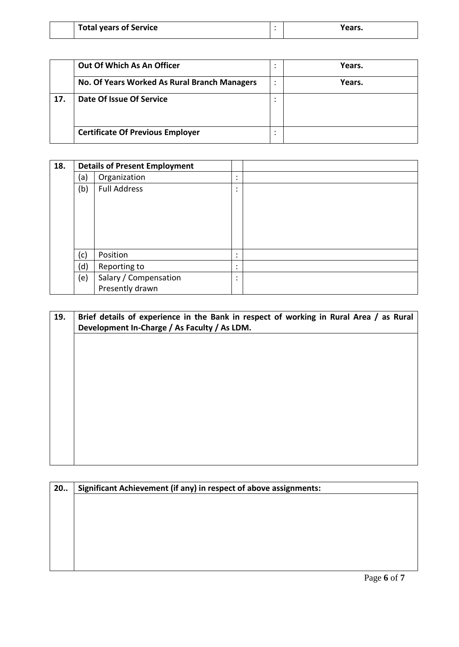| <b>Total years of Service</b> | Years. |
|-------------------------------|--------|
|                               |        |

|     | Out Of Which As An Officer                   |                | Years. |
|-----|----------------------------------------------|----------------|--------|
|     | No. Of Years Worked As Rural Branch Managers | ٠<br>$\bullet$ | Years. |
| 17. | Date Of Issue Of Service                     | $\bullet$      |        |
|     | <b>Certificate Of Previous Employer</b>      |                |        |

| 18. | <b>Details of Present Employment</b> |                       |                |  |
|-----|--------------------------------------|-----------------------|----------------|--|
|     | (a)                                  | Organization          | ٠<br>٠         |  |
|     | (b)                                  | <b>Full Address</b>   | $\bullet$<br>٠ |  |
|     |                                      |                       |                |  |
|     |                                      |                       |                |  |
|     |                                      |                       |                |  |
|     |                                      |                       |                |  |
|     |                                      |                       |                |  |
|     | (c)                                  | Position              | ٠<br>٠         |  |
|     | (d)                                  | Reporting to          | ٠<br>$\bullet$ |  |
|     | (e)                                  | Salary / Compensation | ٠<br>٠         |  |
|     |                                      | Presently drawn       |                |  |

| 19. | Brief details of experience in the Bank in respect of working in Rural Area / as Rural<br>Development In-Charge / As Faculty / As LDM. |
|-----|----------------------------------------------------------------------------------------------------------------------------------------|
|     |                                                                                                                                        |
|     |                                                                                                                                        |
|     |                                                                                                                                        |
|     |                                                                                                                                        |
|     |                                                                                                                                        |
|     |                                                                                                                                        |

| 20. | Significant Achievement (if any) in respect of above assignments: |
|-----|-------------------------------------------------------------------|
|     |                                                                   |
|     |                                                                   |
|     |                                                                   |
|     |                                                                   |
|     |                                                                   |
|     |                                                                   |